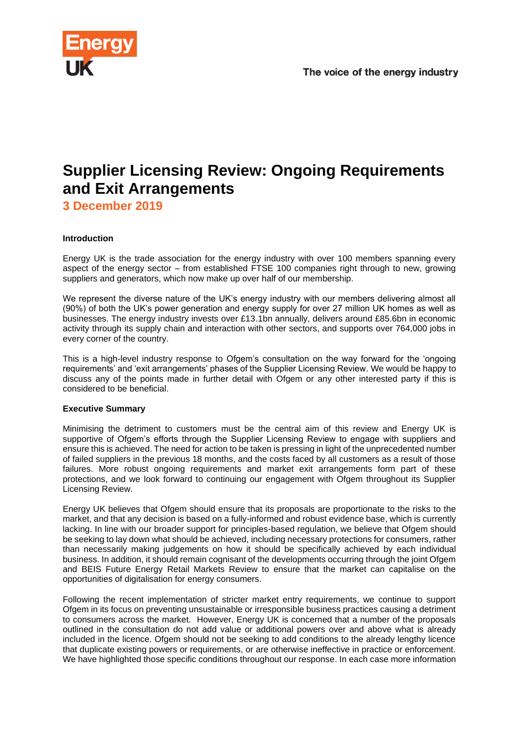

# **Supplier Licensing Review: Ongoing Requirements and Exit Arrangements**

**3 December 2019**

## **Introduction**

Energy UK is the trade association for the energy industry with over 100 members spanning every aspect of the energy sector – from established FTSE 100 companies right through to new, growing suppliers and generators, which now make up over half of our membership.

We represent the diverse nature of the UK's energy industry with our members delivering almost all (90%) of both the UK's power generation and energy supply for over 27 million UK homes as well as businesses. The energy industry invests over £13.1bn annually, delivers around £85.6bn in economic activity through its supply chain and interaction with other sectors, and supports over 764,000 jobs in every corner of the country.

This is a high-level industry response to Ofgem's consultation on the way forward for the 'ongoing requirements' and 'exit arrangements' phases of the Supplier Licensing Review. We would be happy to discuss any of the points made in further detail with Ofgem or any other interested party if this is considered to be beneficial.

## **Executive Summary**

Minimising the detriment to customers must be the central aim of this review and Energy UK is supportive of Ofgem's efforts through the Supplier Licensing Review to engage with suppliers and ensure this is achieved. The need for action to be taken is pressing in light of the unprecedented number of failed suppliers in the previous 18 months, and the costs faced by all customers as a result of those failures. More robust ongoing requirements and market exit arrangements form part of these protections, and we look forward to continuing our engagement with Ofgem throughout its Supplier Licensing Review.

Energy UK believes that Ofgem should ensure that its proposals are proportionate to the risks to the market, and that any decision is based on a fully-informed and robust evidence base, which is currently lacking. In line with our broader support for principles-based regulation, we believe that Ofgem should be seeking to lay down what should be achieved, including necessary protections for consumers, rather than necessarily making judgements on how it should be specifically achieved by each individual business. In addition, it should remain cognisant of the developments occurring through the joint Ofgem and BEIS Future Energy Retail Markets Review to ensure that the market can capitalise on the opportunities of digitalisation for energy consumers.

Following the recent implementation of stricter market entry requirements, we continue to support Ofgem in its focus on preventing unsustainable or irresponsible business practices causing a detriment to consumers across the market. However, Energy UK is concerned that a number of the proposals outlined in the consultation do not add value or additional powers over and above what is already included in the licence. Ofgem should not be seeking to add conditions to the already lengthy licence that duplicate existing powers or requirements, or are otherwise ineffective in practice or enforcement. We have highlighted those specific conditions throughout our response. In each case more information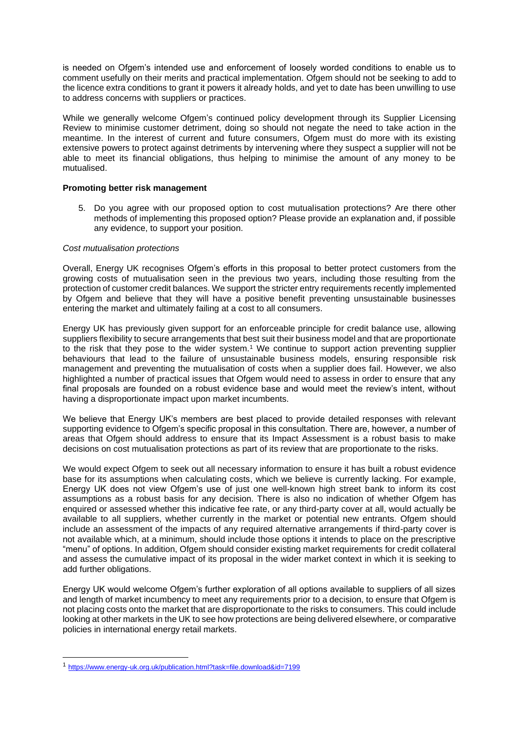is needed on Ofgem's intended use and enforcement of loosely worded conditions to enable us to comment usefully on their merits and practical implementation. Ofgem should not be seeking to add to the licence extra conditions to grant it powers it already holds, and yet to date has been unwilling to use to address concerns with suppliers or practices.

While we generally welcome Ofgem's continued policy development through its Supplier Licensing Review to minimise customer detriment, doing so should not negate the need to take action in the meantime. In the interest of current and future consumers, Ofgem must do more with its existing extensive powers to protect against detriments by intervening where they suspect a supplier will not be able to meet its financial obligations, thus helping to minimise the amount of any money to be mutualised.

### **Promoting better risk management**

5. Do you agree with our proposed option to cost mutualisation protections? Are there other methods of implementing this proposed option? Please provide an explanation and, if possible any evidence, to support your position.

#### *Cost mutualisation protections*

Overall, Energy UK recognises Ofgem's efforts in this proposal to better protect customers from the growing costs of mutualisation seen in the previous two years, including those resulting from the protection of customer credit balances. We support the stricter entry requirements recently implemented by Ofgem and believe that they will have a positive benefit preventing unsustainable businesses entering the market and ultimately failing at a cost to all consumers.

Energy UK has previously given support for an enforceable principle for credit balance use, allowing suppliers flexibility to secure arrangements that best suit their business model and that are proportionate to the risk that they pose to the wider system.<sup>1</sup> We continue to support action preventing supplier behaviours that lead to the failure of unsustainable business models, ensuring responsible risk management and preventing the mutualisation of costs when a supplier does fail. However, we also highlighted a number of practical issues that Ofgem would need to assess in order to ensure that any final proposals are founded on a robust evidence base and would meet the review's intent, without having a disproportionate impact upon market incumbents.

We believe that Energy UK's members are best placed to provide detailed responses with relevant supporting evidence to Ofgem's specific proposal in this consultation. There are, however, a number of areas that Ofgem should address to ensure that its Impact Assessment is a robust basis to make decisions on cost mutualisation protections as part of its review that are proportionate to the risks.

We would expect Ofgem to seek out all necessary information to ensure it has built a robust evidence base for its assumptions when calculating costs, which we believe is currently lacking. For example, Energy UK does not view Ofgem's use of just one well-known high street bank to inform its cost assumptions as a robust basis for any decision. There is also no indication of whether Ofgem has enquired or assessed whether this indicative fee rate, or any third-party cover at all, would actually be available to all suppliers, whether currently in the market or potential new entrants. Ofgem should include an assessment of the impacts of any required alternative arrangements if third-party cover is not available which, at a minimum, should include those options it intends to place on the prescriptive "menu" of options. In addition, Ofgem should consider existing market requirements for credit collateral and assess the cumulative impact of its proposal in the wider market context in which it is seeking to add further obligations.

Energy UK would welcome Ofgem's further exploration of all options available to suppliers of all sizes and length of market incumbency to meet any requirements prior to a decision, to ensure that Ofgem is not placing costs onto the market that are disproportionate to the risks to consumers. This could include looking at other markets in the UK to see how protections are being delivered elsewhere, or comparative policies in international energy retail markets.

<sup>1</sup> [https://www.energy-uk.org.uk/publication.html?task=file.download&id=7199](about:blank)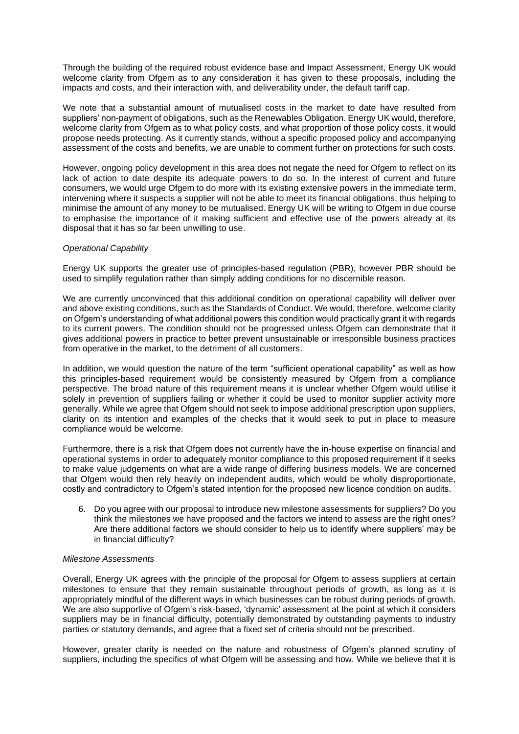Through the building of the required robust evidence base and Impact Assessment, Energy UK would welcome clarity from Ofgem as to any consideration it has given to these proposals, including the impacts and costs, and their interaction with, and deliverability under, the default tariff cap.

We note that a substantial amount of mutualised costs in the market to date have resulted from suppliers' non-payment of obligations, such as the Renewables Obligation. Energy UK would, therefore, welcome clarity from Ofgem as to what policy costs, and what proportion of those policy costs, it would propose needs protecting. As it currently stands, without a specific proposed policy and accompanying assessment of the costs and benefits, we are unable to comment further on protections for such costs.

However, ongoing policy development in this area does not negate the need for Ofgem to reflect on its lack of action to date despite its adequate powers to do so. In the interest of current and future consumers, we would urge Ofgem to do more with its existing extensive powers in the immediate term, intervening where it suspects a supplier will not be able to meet its financial obligations, thus helping to minimise the amount of any money to be mutualised. Energy UK will be writing to Ofgem in due course to emphasise the importance of it making sufficient and effective use of the powers already at its disposal that it has so far been unwilling to use.

### *Operational Capability*

Energy UK supports the greater use of principles-based regulation (PBR), however PBR should be used to simplify regulation rather than simply adding conditions for no discernible reason.

We are currently unconvinced that this additional condition on operational capability will deliver over and above existing conditions, such as the Standards of Conduct. We would, therefore, welcome clarity on Ofgem's understanding of what additional powers this condition would practically grant it with regards to its current powers. The condition should not be progressed unless Ofgem can demonstrate that it gives additional powers in practice to better prevent unsustainable or irresponsible business practices from operative in the market, to the detriment of all customers.

In addition, we would question the nature of the term "sufficient operational capability" as well as how this principles-based requirement would be consistently measured by Ofgem from a compliance perspective. The broad nature of this requirement means it is unclear whether Ofgem would utilise it solely in prevention of suppliers failing or whether it could be used to monitor supplier activity more generally. While we agree that Ofgem should not seek to impose additional prescription upon suppliers, clarity on its intention and examples of the checks that it would seek to put in place to measure compliance would be welcome.

Furthermore, there is a risk that Ofgem does not currently have the in-house expertise on financial and operational systems in order to adequately monitor compliance to this proposed requirement if it seeks to make value judgements on what are a wide range of differing business models. We are concerned that Ofgem would then rely heavily on independent audits, which would be wholly disproportionate, costly and contradictory to Ofgem's stated intention for the proposed new licence condition on audits.

6. Do you agree with our proposal to introduce new milestone assessments for suppliers? Do you think the milestones we have proposed and the factors we intend to assess are the right ones? Are there additional factors we should consider to help us to identify where suppliers' may be in financial difficulty?

### *Milestone Assessments*

Overall, Energy UK agrees with the principle of the proposal for Ofgem to assess suppliers at certain milestones to ensure that they remain sustainable throughout periods of growth, as long as it is appropriately mindful of the different ways in which businesses can be robust during periods of growth. We are also supportive of Ofgem's risk-based, 'dynamic' assessment at the point at which it considers suppliers may be in financial difficulty, potentially demonstrated by outstanding payments to industry parties or statutory demands, and agree that a fixed set of criteria should not be prescribed.

However, greater clarity is needed on the nature and robustness of Ofgem's planned scrutiny of suppliers, including the specifics of what Ofgem will be assessing and how. While we believe that it is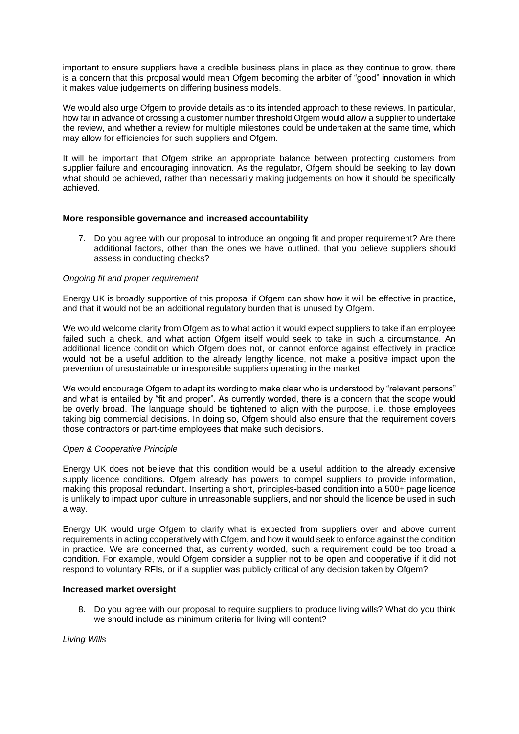important to ensure suppliers have a credible business plans in place as they continue to grow, there is a concern that this proposal would mean Ofgem becoming the arbiter of "good" innovation in which it makes value judgements on differing business models.

We would also urge Ofgem to provide details as to its intended approach to these reviews. In particular, how far in advance of crossing a customer number threshold Ofgem would allow a supplier to undertake the review, and whether a review for multiple milestones could be undertaken at the same time, which may allow for efficiencies for such suppliers and Ofgem.

It will be important that Ofgem strike an appropriate balance between protecting customers from supplier failure and encouraging innovation. As the regulator, Ofgem should be seeking to lay down what should be achieved, rather than necessarily making judgements on how it should be specifically achieved.

## **More responsible governance and increased accountability**

7. Do you agree with our proposal to introduce an ongoing fit and proper requirement? Are there additional factors, other than the ones we have outlined, that you believe suppliers should assess in conducting checks?

### *Ongoing fit and proper requirement*

Energy UK is broadly supportive of this proposal if Ofgem can show how it will be effective in practice, and that it would not be an additional regulatory burden that is unused by Ofgem.

We would welcome clarity from Ofgem as to what action it would expect suppliers to take if an employee failed such a check, and what action Ofgem itself would seek to take in such a circumstance. An additional licence condition which Ofgem does not, or cannot enforce against effectively in practice would not be a useful addition to the already lengthy licence, not make a positive impact upon the prevention of unsustainable or irresponsible suppliers operating in the market.

We would encourage Ofgem to adapt its wording to make clear who is understood by "relevant persons" and what is entailed by "fit and proper". As currently worded, there is a concern that the scope would be overly broad. The language should be tightened to align with the purpose, i.e. those employees taking big commercial decisions. In doing so, Ofgem should also ensure that the requirement covers those contractors or part-time employees that make such decisions.

### *Open & Cooperative Principle*

Energy UK does not believe that this condition would be a useful addition to the already extensive supply licence conditions. Ofgem already has powers to compel suppliers to provide information, making this proposal redundant. Inserting a short, principles-based condition into a 500+ page licence is unlikely to impact upon culture in unreasonable suppliers, and nor should the licence be used in such a way.

Energy UK would urge Ofgem to clarify what is expected from suppliers over and above current requirements in acting cooperatively with Ofgem, and how it would seek to enforce against the condition in practice. We are concerned that, as currently worded, such a requirement could be too broad a condition. For example, would Ofgem consider a supplier not to be open and cooperative if it did not respond to voluntary RFIs, or if a supplier was publicly critical of any decision taken by Ofgem?

### **Increased market oversight**

8. Do you agree with our proposal to require suppliers to produce living wills? What do you think we should include as minimum criteria for living will content?

*Living Wills*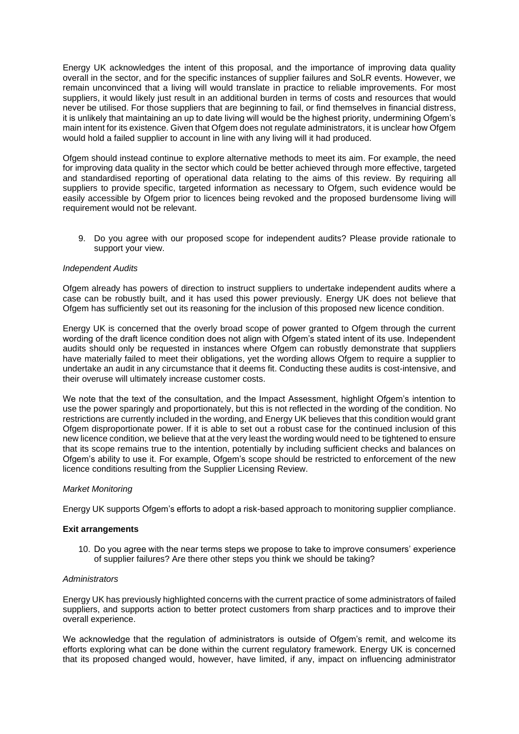Energy UK acknowledges the intent of this proposal, and the importance of improving data quality overall in the sector, and for the specific instances of supplier failures and SoLR events. However, we remain unconvinced that a living will would translate in practice to reliable improvements. For most suppliers, it would likely just result in an additional burden in terms of costs and resources that would never be utilised. For those suppliers that are beginning to fail, or find themselves in financial distress, it is unlikely that maintaining an up to date living will would be the highest priority, undermining Ofgem's main intent for its existence. Given that Ofgem does not regulate administrators, it is unclear how Ofgem would hold a failed supplier to account in line with any living will it had produced.

Ofgem should instead continue to explore alternative methods to meet its aim. For example, the need for improving data quality in the sector which could be better achieved through more effective, targeted and standardised reporting of operational data relating to the aims of this review. By requiring all suppliers to provide specific, targeted information as necessary to Ofgem, such evidence would be easily accessible by Ofgem prior to licences being revoked and the proposed burdensome living will requirement would not be relevant.

9. Do you agree with our proposed scope for independent audits? Please provide rationale to support your view.

### *Independent Audits*

Ofgem already has powers of direction to instruct suppliers to undertake independent audits where a case can be robustly built, and it has used this power previously. Energy UK does not believe that Ofgem has sufficiently set out its reasoning for the inclusion of this proposed new licence condition.

Energy UK is concerned that the overly broad scope of power granted to Ofgem through the current wording of the draft licence condition does not align with Ofgem's stated intent of its use. Independent audits should only be requested in instances where Ofgem can robustly demonstrate that suppliers have materially failed to meet their obligations, yet the wording allows Ofgem to require a supplier to undertake an audit in any circumstance that it deems fit. Conducting these audits is cost-intensive, and their overuse will ultimately increase customer costs.

We note that the text of the consultation, and the Impact Assessment, highlight Ofgem's intention to use the power sparingly and proportionately, but this is not reflected in the wording of the condition. No restrictions are currently included in the wording, and Energy UK believes that this condition would grant Ofgem disproportionate power. If it is able to set out a robust case for the continued inclusion of this new licence condition, we believe that at the very least the wording would need to be tightened to ensure that its scope remains true to the intention, potentially by including sufficient checks and balances on Ofgem's ability to use it. For example, Ofgem's scope should be restricted to enforcement of the new licence conditions resulting from the Supplier Licensing Review.

### *Market Monitoring*

Energy UK supports Ofgem's efforts to adopt a risk-based approach to monitoring supplier compliance.

### **Exit arrangements**

10. Do you agree with the near terms steps we propose to take to improve consumers' experience of supplier failures? Are there other steps you think we should be taking?

#### *Administrators*

Energy UK has previously highlighted concerns with the current practice of some administrators of failed suppliers, and supports action to better protect customers from sharp practices and to improve their overall experience.

We acknowledge that the regulation of administrators is outside of Ofgem's remit, and welcome its efforts exploring what can be done within the current regulatory framework. Energy UK is concerned that its proposed changed would, however, have limited, if any, impact on influencing administrator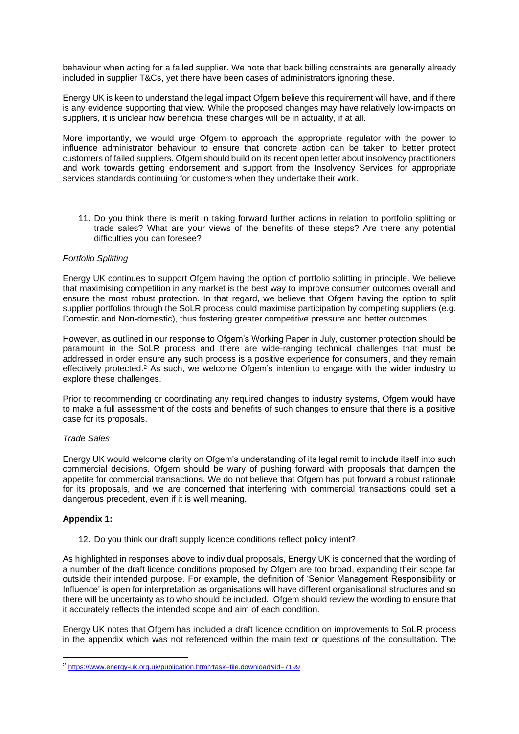behaviour when acting for a failed supplier. We note that back billing constraints are generally already included in supplier T&Cs, yet there have been cases of administrators ignoring these.

Energy UK is keen to understand the legal impact Ofgem believe this requirement will have, and if there is any evidence supporting that view. While the proposed changes may have relatively low-impacts on suppliers, it is unclear how beneficial these changes will be in actuality, if at all.

More importantly, we would urge Ofgem to approach the appropriate regulator with the power to influence administrator behaviour to ensure that concrete action can be taken to better protect customers of failed suppliers. Ofgem should build on its recent open letter about insolvency practitioners and work towards getting endorsement and support from the Insolvency Services for appropriate services standards continuing for customers when they undertake their work.

11. Do you think there is merit in taking forward further actions in relation to portfolio splitting or trade sales? What are your views of the benefits of these steps? Are there any potential difficulties you can foresee?

## *Portfolio Splitting*

Energy UK continues to support Ofgem having the option of portfolio splitting in principle. We believe that maximising competition in any market is the best way to improve consumer outcomes overall and ensure the most robust protection. In that regard, we believe that Ofgem having the option to split supplier portfolios through the SoLR process could maximise participation by competing suppliers (e.g. Domestic and Non-domestic), thus fostering greater competitive pressure and better outcomes.

However, as outlined in our response to Ofgem's Working Paper in July, customer protection should be paramount in the SoLR process and there are wide-ranging technical challenges that must be addressed in order ensure any such process is a positive experience for consumers, and they remain effectively protected.<sup>2</sup> As such, we welcome Ofgem's intention to engage with the wider industry to explore these challenges.

Prior to recommending or coordinating any required changes to industry systems, Ofgem would have to make a full assessment of the costs and benefits of such changes to ensure that there is a positive case for its proposals.

### *Trade Sales*

Energy UK would welcome clarity on Ofgem's understanding of its legal remit to include itself into such commercial decisions. Ofgem should be wary of pushing forward with proposals that dampen the appetite for commercial transactions. We do not believe that Ofgem has put forward a robust rationale for its proposals, and we are concerned that interfering with commercial transactions could set a dangerous precedent, even if it is well meaning.

## **Appendix 1:**

12. Do you think our draft supply licence conditions reflect policy intent?

As highlighted in responses above to individual proposals, Energy UK is concerned that the wording of a number of the draft licence conditions proposed by Ofgem are too broad, expanding their scope far outside their intended purpose. For example, the definition of 'Senior Management Responsibility or Influence' is open for interpretation as organisations will have different organisational structures and so there will be uncertainty as to who should be included. Ofgem should review the wording to ensure that it accurately reflects the intended scope and aim of each condition.

Energy UK notes that Ofgem has included a draft licence condition on improvements to SoLR process in the appendix which was not referenced within the main text or questions of the consultation. The

<sup>2</sup> [https://www.energy-uk.org.uk/publication.html?task=file.download&id=7199](about:blank)